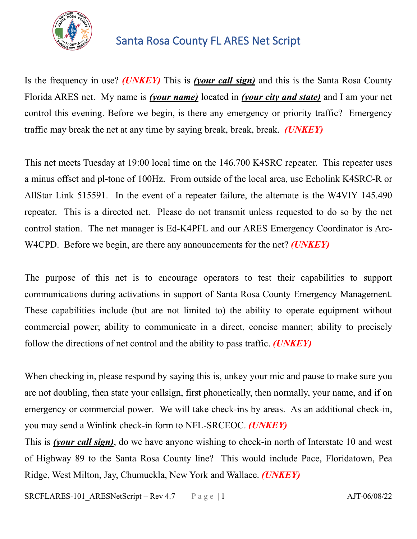

## Santa Rosa County FL ARES Net Script

Is the frequency in use? *(UNKEY)* This is *(your call sign)* and this is the Santa Rosa County Florida ARES net. My name is *(your name)* located in *(your city and state)* and I am your net control this evening. Before we begin, is there any emergency or priority traffic? Emergency traffic may break the net at any time by saying break, break, break. *(UNKEY)*

This net meets Tuesday at 19:00 local time on the 146.700 K4SRC repeater. This repeater uses a minus offset and pl-tone of 100Hz. From outside of the local area, use Echolink K4SRC-R or AllStar Link 515591. In the event of a repeater failure, the alternate is the W4VIY 145.490 repeater. This is a directed net. Please do not transmit unless requested to do so by the net control station. The net manager is Ed-K4PFL and our ARES Emergency Coordinator is Arc-W4CPD. Before we begin, are there any announcements for the net? *(UNKEY)*

The purpose of this net is to encourage operators to test their capabilities to support communications during activations in support of Santa Rosa County Emergency Management. These capabilities include (but are not limited to) the ability to operate equipment without commercial power; ability to communicate in a direct, concise manner; ability to precisely follow the directions of net control and the ability to pass traffic. *(UNKEY)*

When checking in, please respond by saying this is, unkey your mic and pause to make sure you are not doubling, then state your callsign, first phonetically, then normally, your name, and if on emergency or commercial power. We will take check-ins by areas. As an additional check-in, you may send a Winlink check-in form to NFL-SRCEOC. *(UNKEY)*

This is *(your call sign)*, do we have anyone wishing to check-in north of Interstate 10 and west of Highway 89 to the Santa Rosa County line? This would include Pace, Floridatown, Pea Ridge, West Milton, Jay, Chumuckla, New York and Wallace. *(UNKEY)*

SRCFLARES-101 ARESNetScript – Rev 4.7 Page | 1 AJT-06/08/22